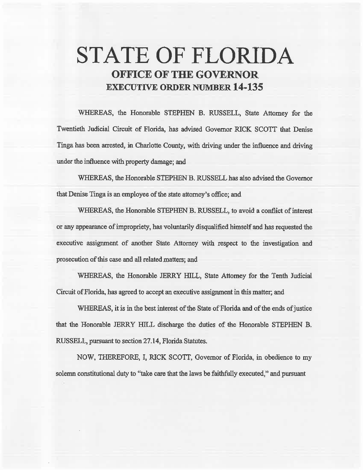# **STATE OF FLORIDA OFFICE OF THE GOVERNOR EXECUTIVE ORDER NUMBER 14-135**

WHEREAS, the Honorable STEPHEN B. RUSSELL, State Attorney for the Twentieth. Judicial Circuit of Florida, has advised Governor RICK *SCOTT* that Denise Tinga has been arrested, in Charlotte County, with driving under the influence and driving under the influence with property damage; and

WHEREAS, the Honorable STEPHEN B. RUSSELL has also advised the Governor that Denise Tinga is an employee of the state attorney's office; and

WHEREAS, the Honorable STEPHEN B. RUSSELL, to avoid a conflict of interest or any appearance of impropriety, has voluntarily disqualified himself and has requested the executive assignment of another State Attorney with respect to the investigation and prosecution of this case and all related matters; and

WHEREAS, the Honorable JERRY HILL, State Attorney for the Tenth Judicial Circuit of Florida, has agreed to accept an executive assignment in this matter; and

WHEREAS, it is in the best interest of the State of Florida and of the ends of justice that the Honorable JERRY HILL discharge the duties of the Honorable STEPHEN B. RUSSELL, pursuant to section27.14, Florida Statutes.

NOW, THEREFORE, I, RICK SCOTT, Governor of Florida, in obedience to my solemn constitutional duty to "take care that the laws be faithfully executed," and pursuant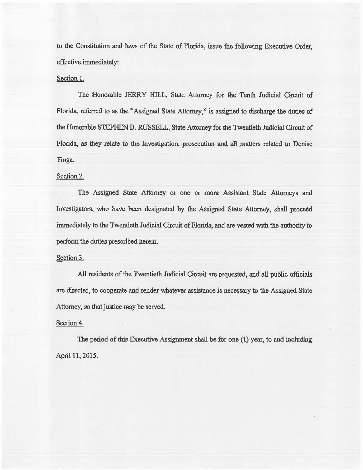to the Constitution and laws of the State of Florida, issue the following Executive Order, effective immediately:

## Section 1.

The Honorable JERRY HILL, State Attorney for the Tenth Judicial Circuit of Florida, referred to as the "Assigned State Attorney," is assigned to discharge the duties of the Honorable STEPHEN B. RUSSELL, State Attorney for the Twentieth Judicial Circuit of Florida, as they relate to the investigation, prosecution and all matters related to Denise Tinga.

# Section 2.

The Assigned State Attorney or one or more Assistant State Attorneys and Investigators, who have been designated by the Assigned State Attorney, shall proceed immediately to the Twentieth Judicial Circuit of Florida, and are vested with the authority to perform the duties prescribed herein.

#### Section 3.

All residents of the Twentieth Judicial Circuit are requested, and all public officials are directed, to cooperate and render whatever assistance is necessary to the Assigned State Attorney, so that justice may be served.

## Section 4.

The period of this Executive Assignment shall be for one (1) year, to and including April 11, 2015.